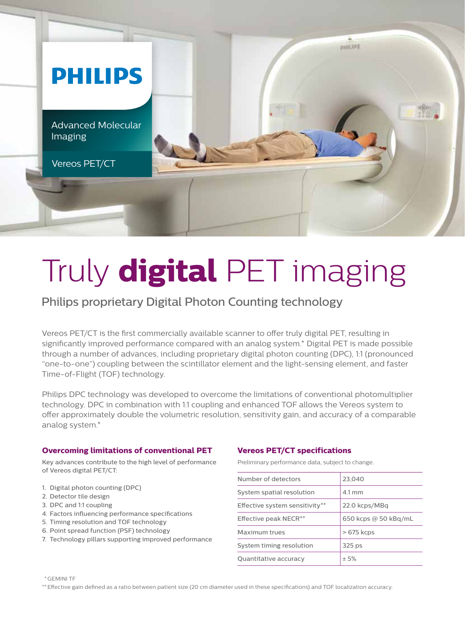

# Truly **digital** PET imaging

Philips proprietary Digital Photon Counting technology

Vereos PET/CT is the first commercially available scanner to offer truly digital PET, resulting in significantly improved performance compared with an analog system.\* Digital PET is made possible through a number of advances, including proprietary digital photon counting (DPC), 1:1 (pronounced "one-to-one") coupling between the scintillator element and the light-sensing element, and faster Time-of-Flight (TOF) technology.

Philips DPC technology was developed to overcome the limitations of conventional photomultiplier technology. DPC in combination with 1:1 coupling and enhanced TOF allows the Vereos system to offer approximately double the volumetric resolution, sensitivity gain, and accuracy of a comparable analog system.\*

### **Overcoming limitations of conventional PET**

Key advances contribute to the high level of performance of Vereos digital PET/CT:

- 1. Digital photon counting (DPC)
- 2. Detector tile design
- 3. DPC and 1:1 coupling
- 4. Factors influencing performance specifications
- 5. Timing resolution and TOF technology
- 6. Point spread function (PSF) technology
- 7. Technology pillars supporting improved performance

### **Vereos PET/CT specifications**

Preliminary performance data, subject to change.

| Number of detectors               | 23.040               |
|-----------------------------------|----------------------|
| System spatial resolution         | 4.1 mm               |
| Effective system sensitivity**    | 22.0 kcps/MBq        |
| Effective peak NECR <sup>**</sup> | 650 kcps @ 50 kBq/mL |
| Maximum trues                     | $>675$ kcps          |
| System timing resolution          | 325 <sub>ps</sub>    |
| Quantitative accuracy             | ± 5%                 |

\*GEMINI TF

\*\*Effective gain defined as a ratio between patient size (20 cm diameter used in these specifications) and TOF localization accuracy.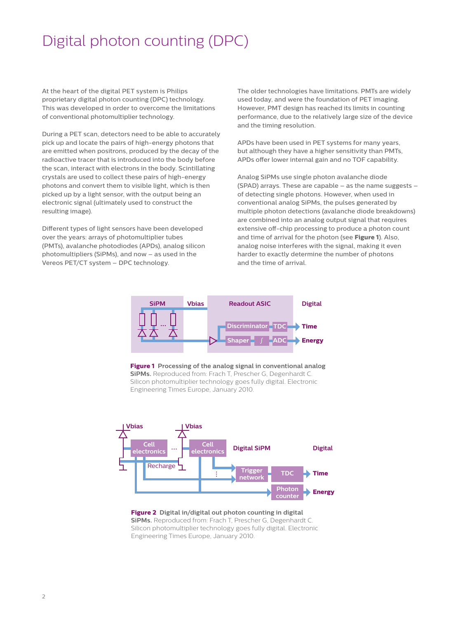## Digital photon counting (DPC)

At the heart of the digital PET system is Philips proprietary digital photon counting (DPC) technology. This was developed in order to overcome the limitations of conventional photomultiplier technology.

During a PET scan, detectors need to be able to accurately pick up and locate the pairs of high-energy photons that are emitted when positrons, produced by the decay of the radioactive tracer that is introduced into the body before the scan, interact with electrons in the body. Scintillating crystals are used to collect these pairs of high-energy photons and convert them to visible light, which is then picked up by a light sensor, with the output being an electronic signal (ultimately used to construct the resulting image).

Different types of light sensors have been developed over the years: arrays of photomultiplier tubes (PMTs), avalanche photodiodes (APDs), analog silicon photomultipliers (SiPMs), and now – as used in the Vereos PET/CT system – DPC technology.

The older technologies have limitations. PMTs are widely used today, and were the foundation of PET imaging. However, PMT design has reached its limits in counting performance, due to the relatively large size of the device and the timing resolution.

APDs have been used in PET systems for many years, but although they have a higher sensitivity than PMTs, APDs offer lower internal gain and no TOF capability.

Analog SiPMs use single photon avalanche diode (SPAD) arrays. These are capable – as the name suggests – of detecting single photons. However, when used in conventional analog SiPMs, the pulses generated by multiple photon detections (avalanche diode breakdowns) are combined into an analog output signal that requires extensive off-chip processing to produce a photon count and time of arrival for the photon (see **Figure 1**). Also, analog noise interferes with the signal, making it even harder to exactly determine the number of photons and the time of arrival.



**Figure 1 Processing of the analog signal in conventional analog SiPMs.** Reproduced from: Frach T, Prescher G, Degenhardt C. Silicon photomultiplier technology goes fully digital. Electronic Engineering Times Europe, January 2010.



#### **Figure 2 Digital in/digital out photon counting in digital SiPMs.** Reproduced from: Frach T, Prescher G, Degenhardt C. Silicon photomultiplier technology goes fully digital. Electronic Engineering Times Europe, January 2010.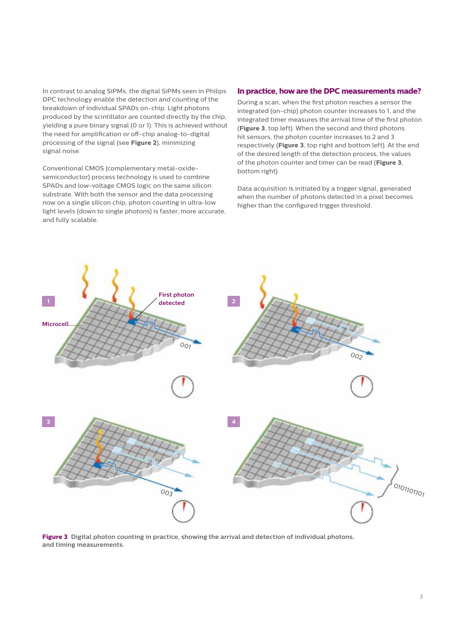In contrast to analog SiPMs, the digital SiPMs seen in Philips DPC technology enable the detection and counting of the breakdown of individual SPADs on-chip. Light photons produced by the scintillator are counted directly by the chip, yielding a pure binary signal (0 or 1). This is achieved without the need for amplification or off-chip analog-to-digital processing of the signal (see **Figure 2**), minimizing signal noise.

Conventional CMOS (complementary metal-oxidesemiconductor) process technology is used to combine SPADs and low-voltage CMOS logic on the same silicon substrate. With both the sensor and the data processing now on a single silicon chip, photon counting in ultra-low light levels (down to single photons) is faster, more accurate, and fully scalable.

### **In practice, how are the DPC measurements made?**

During a scan, when the first photon reaches a sensor the integrated (on-chip) photon counter increases to 1, and the integrated timer measures the arrival time of the first photon (**Figure 3**, top left). When the second and third photons hit sensors, the photon counter increases to 2 and 3 respectively (**Figure 3**, top right and bottom left). At the end of the desired length of the detection process, the values of the photon counter and timer can be read (**Figure 3**, bottom right).

Data acquisition is initiated by a trigger signal, generated when the number of photons detected in a pixel becomes higher than the configured trigger threshold.



**Figure 3 Digital photon counting in practice, showing the arrival and detection of individual photons, and timing measurements.**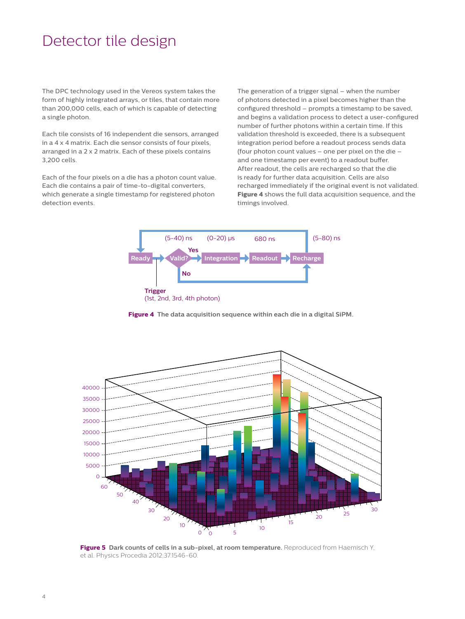### Detector tile design

The DPC technology used in the Vereos system takes the form of highly integrated arrays, or tiles, that contain more than 200,000 cells, each of which is capable of detecting a single photon.

Each tile consists of 16 independent die sensors, arranged in a 4 x 4 matrix. Each die sensor consists of four pixels, arranged in a 2 x 2 matrix. Each of these pixels contains 3,200 cells.

Each of the four pixels on a die has a photon count value. Each die contains a pair of time-to-digital converters, which generate a single timestamp for registered photon detection events.

The generation of a trigger signal – when the number of photons detected in a pixel becomes higher than the configured threshold – prompts a timestamp to be saved, and begins a validation process to detect a user-configured number of further photons within a certain time. If this validation threshold is exceeded, there is a subsequent integration period before a readout process sends data (four photon count values – one per pixel on the die – and one timestamp per event) to a readout buffer. After readout, the cells are recharged so that the die is ready for further data acquisition. Cells are also recharged immediately if the original event is not validated. **Figure 4** shows the full data acquisition sequence, and the timings involved.



**Figure 4 The data acquisition sequence within each die in a digital SiPM.**



**Figure 5 Dark counts of cells in a sub-pixel, at room temperature.** Reproduced from Haemisch Y, et al. Physics Procedia 2012;37:1546-60.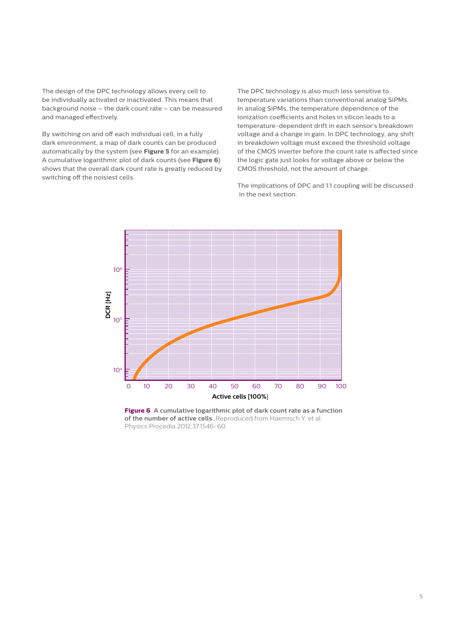The design of the DPC technology allows every cell to be individually activated or inactivated. This means that background noise – the dark count rate – can be measured and managed effectively.

By switching on and off each individual cell, in a fully dark environment, a map of dark counts can be produced automatically by the system (see **Figure 5** for an example). A cumulative logarithmic plot of dark counts (see **Figure 6**) shows that the overall dark count rate is greatly reduced by switching off the noisiest cells.

The DPC technology is also much less sensitive to temperature variations than conventional analog SiPMs. In analog SiPMs, the temperature dependence of the ionization coefficients and holes in silicon leads to a temperature-dependent drift in each sensor's breakdown voltage and a change in gain. In DPC technology, any shift in breakdown voltage must exceed the threshold voltage of the CMOS inverter before the count rate is affected since the logic gate just looks for voltage above or below the CMOS threshold, not the amount of charge.

The implications of DPC and 1:1 coupling will be discussed in the next section.



**Figure 6 A cumulative logarithmic plot of dark count rate as a function of the number of active cells.** Reproduced from Haemisch Y, et al. Physics Procedia 2012;37:1546-60.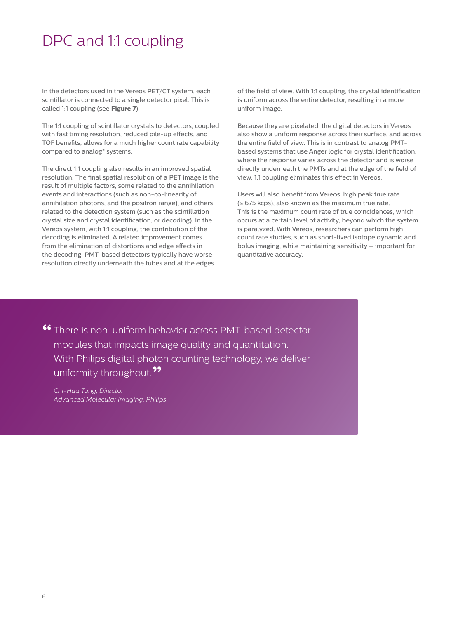### DPC and 1:1 coupling

In the detectors used in the Vereos PET/CT system, each scintillator is connected to a single detector pixel. This is called 1:1 coupling (see **Figure 7**).

The 1:1 coupling of scintillator crystals to detectors, coupled with fast timing resolution, reduced pile-up effects, and TOF benefits, allows for a much higher count rate capability compared to analog\* systems.

The direct 1:1 coupling also results in an improved spatial resolution. The final spatial resolution of a PET image is the result of multiple factors, some related to the annihilation events and interactions (such as non-co-linearity of annihilation photons, and the positron range), and others related to the detection system (such as the scintillation crystal size and crystal identification, or decoding). In the Vereos system, with 1:1 coupling, the contribution of the decoding is eliminated. A related improvement comes from the elimination of distortions and edge effects in the decoding. PMT-based detectors typically have worse resolution directly underneath the tubes and at the edges

of the field of view. With 1:1 coupling, the crystal identification is uniform across the entire detector, resulting in a more uniform image.

Because they are pixelated, the digital detectors in Vereos also show a uniform response across their surface, and across the entire field of view. This is in contrast to analog PMTbased systems that use Anger logic for crystal identification, where the response varies across the detector and is worse directly underneath the PMTs and at the edge of the field of view. 1:1 coupling eliminates this effect in Vereos.

Users will also benefit from Vereos' high peak true rate (≥ 675 kcps), also known as the maximum true rate. This is the maximum count rate of true coincidences, which occurs at a certain level of activity, beyond which the system is paralyzed. With Vereos, researchers can perform high count rate studies, such as short-lived isotope dynamic and bolus imaging, while maintaining sensitivity – important for quantitative accuracy.

**"** There is non-uniform behavior across PMT-based detector modules that impacts image quality and quantitation. With Philips digital photon counting technology, we deliver uniformity throughout. **"**

*Chi-Hua Tung, Director Advanced Molecular Imaging, Philips*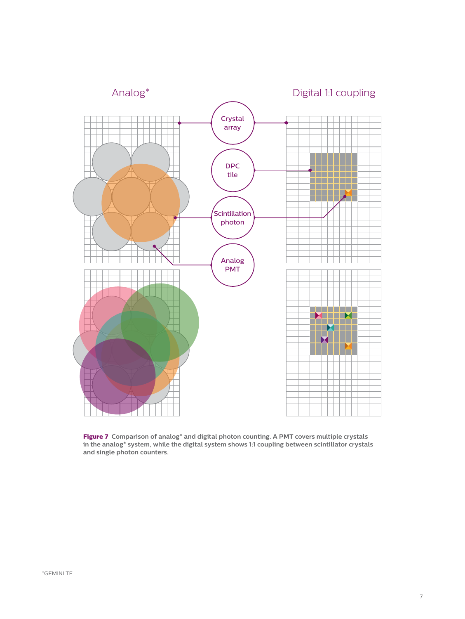

**Figure 7 Comparison of analog\* and digital photon counting. A PMT covers multiple crystals in the analog\* system, while the digital system shows 1:1 coupling between scintillator crystals and single photon counters.**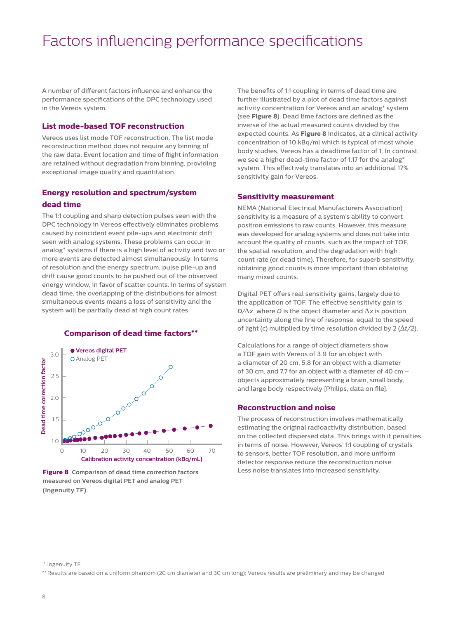# Factors influencing performance specifications

A number of different factors influence and enhance the performance specifications of the DPC technology used in the Vereos system.

#### **List mode-based TOF reconstruction**

Vereos uses list mode TOF reconstruction. The list mode reconstruction method does not require any binning of the raw data. Event location and time of flight information are retained without degradation from binning, providing exceptional image quality and quantitation.

### **Energy resolution and spectrum/system dead time**

The 1:1 coupling and sharp detection pulses seen with the DPC technology in Vereos effectively eliminates problems caused by coincident event pile-ups and electronic drift seen with analog systems. These problems can occur in analog\* systems if there is a high level of activity and two or more events are detected almost simultaneously. In terms of resolution and the energy spectrum, pulse pile-up and drift cause good counts to be pushed out of the observed energy window, in favor of scatter counts. In terms of system dead time, the overlapping of the distributions for almost simultaneous events means a loss of sensitivity and the system will be partially dead at high count rates.



**Comparison of dead time factors\*\***

The benefits of 1:1 coupling in terms of dead time are further illustrated by a plot of dead time factors against activity concentration for Vereos and an analog\* system (see **Figure 8**). Dead time factors are defined as the inverse of the actual measured counts divided by the expected counts. As **Figure 8** indicates, at a clinical activity concentration of 10 kBq/ml which is typical of most whole body studies, Vereos has a deadtime factor of 1. In contrast, we see a higher dead-time factor of 1.17 for the analog\* system. This effectively translates into an additional 17% sensitivity gain for Vereos.

#### **Sensitivity measurement**

NEMA (National Electrical Manufacturers Association) sensitivity is a measure of a system's ability to convert positron emissions to raw counts. However, this measure was developed for analog systems and does not take into account the quality of counts, such as the impact of TOF, the spatial resolution, and the degradation with high count rate (or dead time). Therefore, for superb sensitivity, obtaining good counts is more important than obtaining many mixed counts.

Digital PET offers real sensitivity gains, largely due to the application of TOF. The effective sensitivity gain is *D/*Δ*x*, where *D* is the object diameter and Δ*x* is position uncertainty along the line of response, equal to the speed of light (*c*) multiplied by time resolution divided by 2 (Δ*t/2*).

Calculations for a range of object diameters show a TOF gain with Vereos of 3.9 for an object with a diameter of 20 cm, 5.8 for an object with a diameter of 30 cm, and 7.7 for an object with a diameter of 40 cm – objects approximately representing a brain, small body, and large body respectively [Philips, data on file].

#### **Reconstruction and noise**

The process of reconstruction involves mathematically estimating the original radioactivity distribution, based on the collected dispersed data. This brings with it penalties in terms of noise. However, Vereos' 1:1 coupling of crystals to sensors, better TOF resolution, and more uniform detector response reduce the reconstruction noise. Less noise translates into increased sensitivity.

**Figure 8 Comparison of dead time correction factors measured on Vereos digital PET and analog PET (Ingenuity TF).**

<sup>\*</sup> Ingenuity TF

<sup>\*\*</sup>Results are based on a uniform phantom (20 cm diameter and 30 cm long); Vereos results are preliminary and may be changed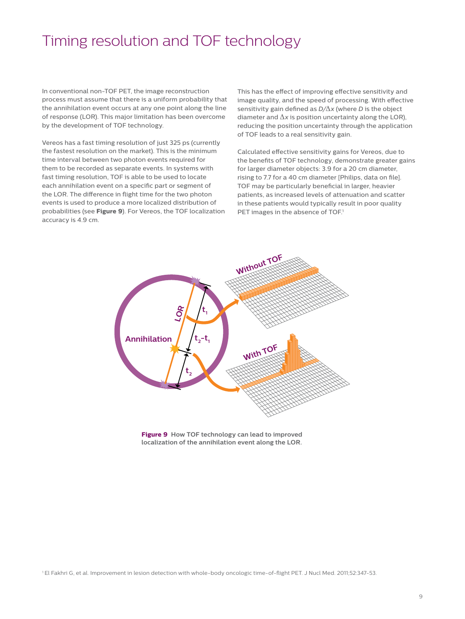### Timing resolution and TOF technology

In conventional non-TOF PET, the image reconstruction process must assume that there is a uniform probability that the annihilation event occurs at any one point along the line of response (LOR). This major limitation has been overcome by the development of TOF technology.

Vereos has a fast timing resolution of just 325 ps (currently the fastest resolution on the market). This is the minimum time interval between two photon events required for them to be recorded as separate events. In systems with fast timing resolution, TOF is able to be used to locate each annihilation event on a specific part or segment of the LOR. The difference in flight time for the two photon events is used to produce a more localized distribution of probabilities (see **Figure 9**). For Vereos, the TOF localization accuracy is 4.9 cm.

This has the effect of improving effective sensitivity and image quality, and the speed of processing. With effective sensitivity gain defined as *D/*Δ*x* (where *D* is the object diameter and  $\Delta x$  is position uncertainty along the LOR), reducing the position uncertainty through the application of TOF leads to a real sensitivity gain.

Calculated effective sensitivity gains for Vereos, due to the benefits of TOF technology, demonstrate greater gains for larger diameter objects: 3.9 for a 20 cm diameter, rising to 7.7 for a 40 cm diameter [Philips, data on file]. TOF may be particularly beneficial in larger, heavier patients, as increased levels of attenuation and scatter in these patients would typically result in poor quality PET images in the absence of TOF.<sup>1</sup>



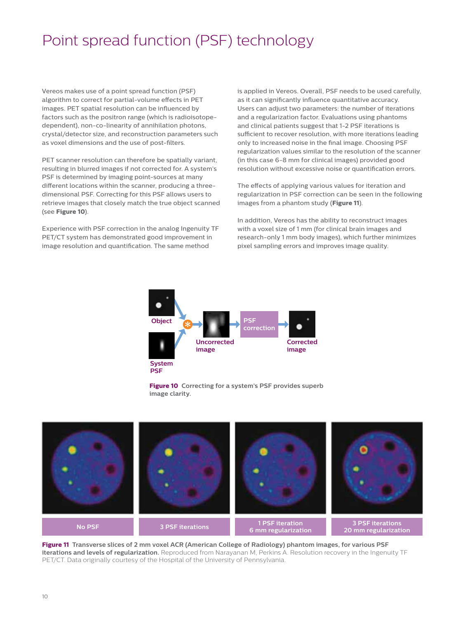# Point spread function (PSF) technology

Vereos makes use of a point spread function (PSF) algorithm to correct for partial-volume effects in PET images. PET spatial resolution can be influenced by factors such as the positron range (which is radioisotopedependent), non-co-linearity of annihilation photons, crystal/detector size, and reconstruction parameters such as voxel dimensions and the use of post-filters.

PET scanner resolution can therefore be spatially variant, resulting in blurred images if not corrected for. A system's PSF is determined by imaging point-sources at many different locations within the scanner, producing a threedimensional PSF. Correcting for this PSF allows users to retrieve images that closely match the true object scanned (see **Figure 10**).

Experience with PSF correction in the analog Ingenuity TF PET/CT system has demonstrated good improvement in image resolution and quantification. The same method

is applied in Vereos. Overall, PSF needs to be used carefully, as it can significantly influence quantitative accuracy. Users can adjust two parameters: the number of iterations and a regularization factor. Evaluations using phantoms and clinical patients suggest that 1-2 PSF iterations is sufficient to recover resolution, with more iterations leading only to increased noise in the final image. Choosing PSF regularization values similar to the resolution of the scanner (in this case 6-8 mm for clinical images) provided good resolution without excessive noise or quantification errors.

The effects of applying various values for iteration and regularization in PSF correction can be seen in the following images from a phantom study (**Figure 11**).

In addition, Vereos has the ability to reconstruct images with a voxel size of 1 mm (for clinical brain images and research-only 1 mm body images), which further minimizes pixel sampling errors and improves image quality.







**Figure 11 Transverse slices of 2 mm voxel ACR (American College of Radiology) phantom images, for various PSF iterations and levels of regularization.** Reproduced from Narayanan M, Perkins A. Resolution recovery in the Ingenuity TF PET/CT. Data originally courtesy of the Hospital of the University of Pennsylvania.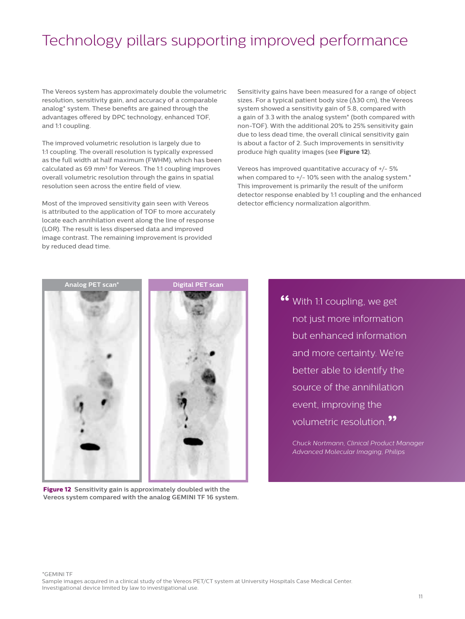## Technology pillars supporting improved performance

The Vereos system has approximately double the volumetric resolution, sensitivity gain, and accuracy of a comparable analog\* system. These benefits are gained through the advantages offered by DPC technology, enhanced TOF, and 1:1 coupling.

The improved volumetric resolution is largely due to 1:1 coupling. The overall resolution is typically expressed as the full width at half maximum (FWHM), which has been calculated as 69 mm<sup>3</sup> for Vereos. The 1:1 coupling improves overall volumetric resolution through the gains in spatial resolution seen across the entire field of view.

Most of the improved sensitivity gain seen with Vereos is attributed to the application of TOF to more accurately locate each annihilation event along the line of response (LOR). The result is less dispersed data and improved image contrast. The remaining improvement is provided by reduced dead time.

Sensitivity gains have been measured for a range of object sizes. For a typical patient body size ( $\Delta$ 30 cm), the Vereos system showed a sensitivity gain of 5.8, compared with a gain of 3.3 with the analog system\* (both compared with non-TOF). With the additional 20% to 25% sensitivity gain due to less dead time, the overall clinical sensitivity gain is about a factor of 2. Such improvements in sensitivity produce high quality images (see **Figure 12**).

Vereos has improved quantitative accuracy of +/- 5% when compared to  $+/$ -10% seen with the analog system. $*$ This improvement is primarily the result of the uniform detector response enabled by 1:1 coupling and the enhanced detector efficiency normalization algorithm.



**Figure 12 Sensitivity gain is approximately doubled with the Vereos system compared with the analog GEMINI TF 16 system.**

**"** With 1:1 coupling, we get not just more information but enhanced information and more certainty. We're better able to identify the source of the annihilation event, improving the volumetric resolution. **"**

*Chuck Nortmann, Clinical Product Manager Advanced Molecular Imaging, Philips*